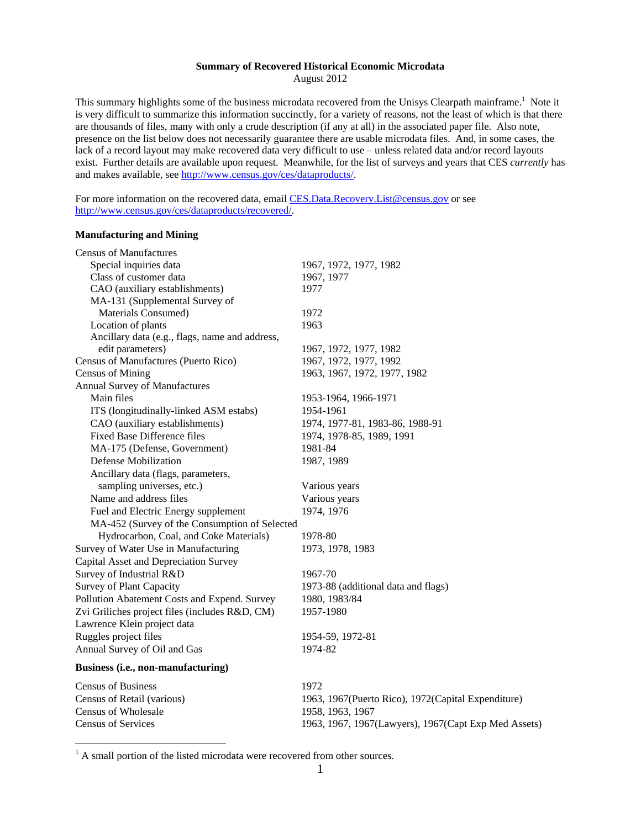## **Summary of Recovered Historical Economic Microdata**

August 2012

This summary highlights some of the business microdata recovered from the Unisys Clearpath mainframe.<sup>1</sup> Note it is very difficult to summarize this information succinctly, for a variety of reasons, not the least of which is that there are thousands of files, many with only a crude description (if any at all) in the associated paper file. Also note, presence on the list below does not necessarily guarantee there are usable microdata files. And, in some cases, the lack of a record layout may make recovered data very difficult to use – unless related data and/or record layouts exist. Further details are available upon request. Meanwhile, for the list of surveys and years that CES *currently* has and makes available, see http://www.census.gov/ces/dataproducts/.

For more information on the recovered data, email CES.Data.Recovery.List@census.gov or see http://www.census.gov/ces/dataproducts/recovered/.

## **Manufacturing and Mining**

| <b>Census of Manufactures</b>                  |                                                      |
|------------------------------------------------|------------------------------------------------------|
| Special inquiries data                         | 1967, 1972, 1977, 1982                               |
| Class of customer data                         | 1967, 1977                                           |
| CAO (auxiliary establishments)                 | 1977                                                 |
| MA-131 (Supplemental Survey of                 |                                                      |
| Materials Consumed)                            | 1972                                                 |
| Location of plants                             | 1963                                                 |
| Ancillary data (e.g., flags, name and address, |                                                      |
| edit parameters)                               | 1967, 1972, 1977, 1982                               |
| Census of Manufactures (Puerto Rico)           | 1967, 1972, 1977, 1992                               |
| <b>Census of Mining</b>                        | 1963, 1967, 1972, 1977, 1982                         |
| <b>Annual Survey of Manufactures</b>           |                                                      |
| Main files                                     | 1953-1964, 1966-1971                                 |
| ITS (longitudinally-linked ASM estabs)         | 1954-1961                                            |
| CAO (auxiliary establishments)                 | 1974, 1977-81, 1983-86, 1988-91                      |
| <b>Fixed Base Difference files</b>             | 1974, 1978-85, 1989, 1991                            |
| MA-175 (Defense, Government)                   | 1981-84                                              |
| Defense Mobilization                           | 1987, 1989                                           |
| Ancillary data (flags, parameters,             |                                                      |
| sampling universes, etc.)                      | Various years                                        |
| Name and address files                         | Various years                                        |
| Fuel and Electric Energy supplement            | 1974, 1976                                           |
| MA-452 (Survey of the Consumption of Selected  |                                                      |
| Hydrocarbon, Coal, and Coke Materials)         | 1978-80                                              |
| Survey of Water Use in Manufacturing           | 1973, 1978, 1983                                     |
| Capital Asset and Depreciation Survey          |                                                      |
| Survey of Industrial R&D                       | 1967-70                                              |
| <b>Survey of Plant Capacity</b>                | 1973-88 (additional data and flags)                  |
| Pollution Abatement Costs and Expend. Survey   | 1980, 1983/84                                        |
| Zvi Griliches project files (includes R&D, CM) | 1957-1980                                            |
| Lawrence Klein project data                    |                                                      |
| Ruggles project files                          | 1954-59, 1972-81                                     |
| Annual Survey of Oil and Gas                   | 1974-82                                              |
|                                                |                                                      |
| Business (i.e., non-manufacturing)             |                                                      |
| <b>Census of Business</b>                      | 1972                                                 |
| Census of Retail (various)                     | 1963, 1967(Puerto Rico), 1972(Capital Expenditure)   |
| <b>Census of Wholesale</b>                     | 1958, 1963, 1967                                     |
| <b>Census of Services</b>                      | 1963, 1967, 1967(Lawyers), 1967(Capt Exp Med Assets) |
|                                                |                                                      |

<sup>1</sup> A small portion of the listed microdata were recovered from other sources.